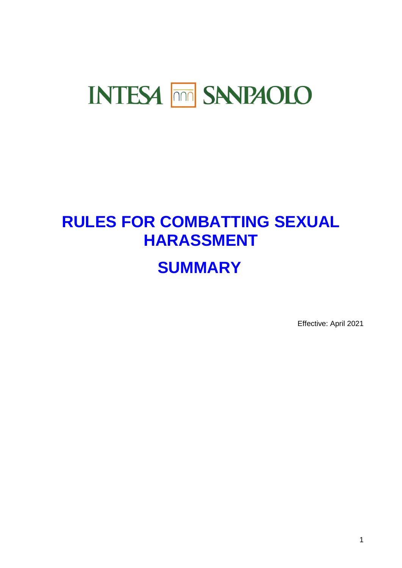# **INTESA MM SANPAOLO**

# **RULES FOR COMBATTING SEXUAL HARASSMENT SUMMARY**

Effective: April 2021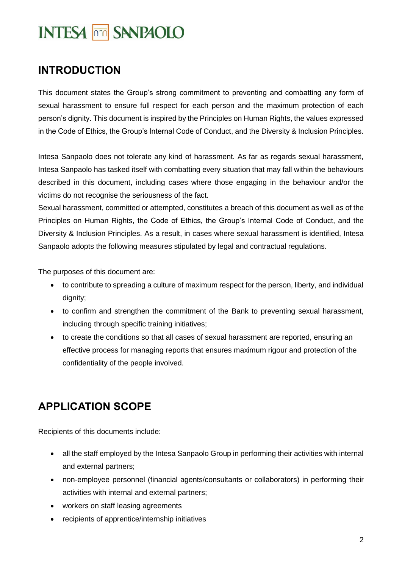### **INTRODUCTION**

This document states the Group's strong commitment to preventing and combatting any form of sexual harassment to ensure full respect for each person and the maximum protection of each person's dignity. This document is inspired by the Principles on Human Rights, the values expressed in the Code of Ethics, the Group's Internal Code of Conduct, and the Diversity & Inclusion Principles.

Intesa Sanpaolo does not tolerate any kind of harassment. As far as regards sexual harassment, Intesa Sanpaolo has tasked itself with combatting every situation that may fall within the behaviours described in this document, including cases where those engaging in the behaviour and/or the victims do not recognise the seriousness of the fact.

Sexual harassment, committed or attempted, constitutes a breach of this document as well as of the Principles on Human Rights, the Code of Ethics, the Group's Internal Code of Conduct, and the Diversity & Inclusion Principles. As a result, in cases where sexual harassment is identified, Intesa Sanpaolo adopts the following measures stipulated by legal and contractual regulations.

The purposes of this document are:

- to contribute to spreading a culture of maximum respect for the person, liberty, and individual dignity;
- to confirm and strengthen the commitment of the Bank to preventing sexual harassment, including through specific training initiatives;
- to create the conditions so that all cases of sexual harassment are reported, ensuring an effective process for managing reports that ensures maximum rigour and protection of the confidentiality of the people involved.

### **APPLICATION SCOPE**

Recipients of this documents include:

- all the staff employed by the Intesa Sanpaolo Group in performing their activities with internal and external partners;
- non-employee personnel (financial agents/consultants or collaborators) in performing their activities with internal and external partners;
- workers on staff leasing agreements
- recipients of apprentice/internship initiatives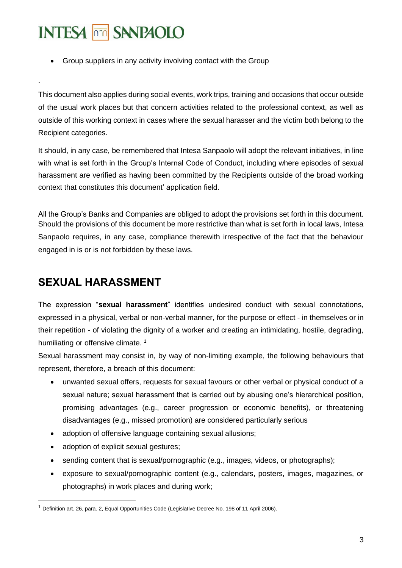.

-

• Group suppliers in any activity involving contact with the Group

This document also applies during social events, work trips, training and occasions that occur outside of the usual work places but that concern activities related to the professional context, as well as outside of this working context in cases where the sexual harasser and the victim both belong to the Recipient categories.

It should, in any case, be remembered that Intesa Sanpaolo will adopt the relevant initiatives, in line with what is set forth in the Group's Internal Code of Conduct, including where episodes of sexual harassment are verified as having been committed by the Recipients outside of the broad working context that constitutes this document' application field.

All the Group's Banks and Companies are obliged to adopt the provisions set forth in this document. Should the provisions of this document be more restrictive than what is set forth in local laws, Intesa Sanpaolo requires, in any case, compliance therewith irrespective of the fact that the behaviour engaged in is or is not forbidden by these laws.

#### **SEXUAL HARASSMENT**

The expression "**sexual harassment**" identifies undesired conduct with sexual connotations, expressed in a physical, verbal or non-verbal manner, for the purpose or effect - in themselves or in their repetition - of violating the dignity of a worker and creating an intimidating, hostile, degrading, humiliating or offensive climate.<sup>1</sup>

Sexual harassment may consist in, by way of non-limiting example, the following behaviours that represent, therefore, a breach of this document:

- unwanted sexual offers, requests for sexual favours or other verbal or physical conduct of a sexual nature; sexual harassment that is carried out by abusing one's hierarchical position, promising advantages (e.g., career progression or economic benefits), or threatening disadvantages (e.g., missed promotion) are considered particularly serious
- adoption of offensive language containing sexual allusions;
- adoption of explicit sexual gestures;
- sending content that is sexual/pornographic (e.g., images, videos, or photographs);
- exposure to sexual/pornographic content (e.g., calendars, posters, images, magazines, or photographs) in work places and during work;

<sup>1</sup> Definition art. 26, para. 2, Equal Opportunities Code (Legislative Decree No. 198 of 11 April 2006).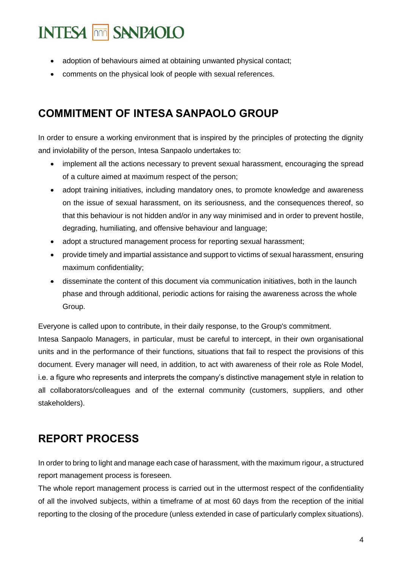- adoption of behaviours aimed at obtaining unwanted physical contact;
- comments on the physical look of people with sexual references.

#### **COMMITMENT OF INTESA SANPAOLO GROUP**

In order to ensure a working environment that is inspired by the principles of protecting the dignity and inviolability of the person, Intesa Sanpaolo undertakes to:

- implement all the actions necessary to prevent sexual harassment, encouraging the spread of a culture aimed at maximum respect of the person;
- adopt training initiatives, including mandatory ones, to promote knowledge and awareness on the issue of sexual harassment, on its seriousness, and the consequences thereof, so that this behaviour is not hidden and/or in any way minimised and in order to prevent hostile, degrading, humiliating, and offensive behaviour and language;
- adopt a structured management process for reporting sexual harassment;
- provide timely and impartial assistance and support to victims of sexual harassment, ensuring maximum confidentiality;
- disseminate the content of this document via communication initiatives, both in the launch phase and through additional, periodic actions for raising the awareness across the whole Group.

Everyone is called upon to contribute, in their daily response, to the Group's commitment.

Intesa Sanpaolo Managers, in particular, must be careful to intercept, in their own organisational units and in the performance of their functions, situations that fail to respect the provisions of this document. Every manager will need, in addition, to act with awareness of their role as Role Model, i.e. a figure who represents and interprets the company's distinctive management style in relation to all collaborators/colleagues and of the external community (customers, suppliers, and other stakeholders).

#### **REPORT PROCESS**

In order to bring to light and manage each case of harassment, with the maximum rigour, a structured report management process is foreseen.

The whole report management process is carried out in the uttermost respect of the confidentiality of all the involved subjects, within a timeframe of at most 60 days from the reception of the initial reporting to the closing of the procedure (unless extended in case of particularly complex situations).